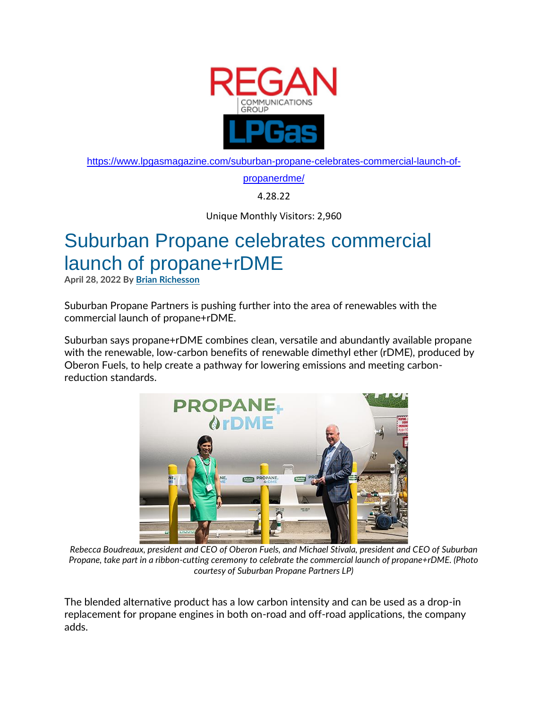

[https://www.lpgasmagazine.com/suburban-propane-celebrates-commercial-launch-of-](https://www.lpgasmagazine.com/suburban-propane-celebrates-commercial-launch-of-propanerdme/)

[propanerdme/](https://www.lpgasmagazine.com/suburban-propane-celebrates-commercial-launch-of-propanerdme/)

4.28.22

Unique Monthly Visitors: 2,960

## Suburban Propane celebrates commercial launch of propane+rDME

**April 28, 2022 By [Brian Richesson](https://www.lpgasmagazine.com/author/brichesson/)** 

Suburban Propane Partners is pushing further into the area of renewables with the commercial launch of propane+rDME.

Suburban says propane+rDME combines clean, versatile and abundantly available propane with the renewable, low-carbon benefits of renewable dimethyl ether (rDME), produced by Oberon Fuels, to help create a pathway for lowering emissions and meeting carbonreduction standards.



*Rebecca Boudreaux, president and CEO of Oberon Fuels, and Michael Stivala, president and CEO of Suburban Propane, take part in a ribbon-cutting ceremony to celebrate the commercial launch of propane+rDME. (Photo courtesy of Suburban Propane Partners LP)*

The blended alternative product has a low carbon intensity and can be used as a drop-in replacement for propane engines in both on-road and off-road applications, the company adds.